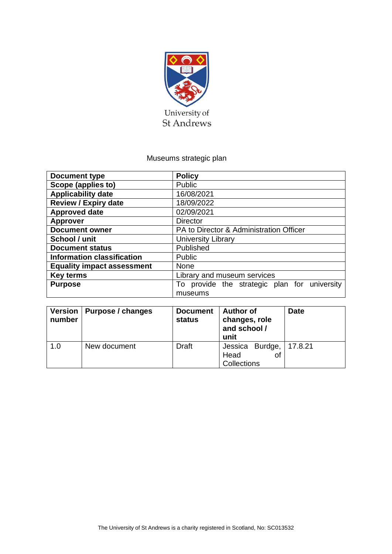

## Museums strategic plan

| <b>Document type</b>              | <b>Policy</b>                                |  |  |  |
|-----------------------------------|----------------------------------------------|--|--|--|
| Scope (applies to)                | Public                                       |  |  |  |
| <b>Applicability date</b>         | 16/08/2021                                   |  |  |  |
| <b>Review / Expiry date</b>       | 18/09/2022                                   |  |  |  |
| <b>Approved date</b>              | 02/09/2021                                   |  |  |  |
| <b>Approver</b>                   | <b>Director</b>                              |  |  |  |
| <b>Document owner</b>             | PA to Director & Administration Officer      |  |  |  |
| School / unit                     | <b>University Library</b>                    |  |  |  |
| <b>Document status</b>            | Published                                    |  |  |  |
| <b>Information classification</b> | Public                                       |  |  |  |
| <b>Equality impact assessment</b> | None                                         |  |  |  |
| <b>Key terms</b>                  | Library and museum services                  |  |  |  |
| <b>Purpose</b>                    | To provide the strategic plan for university |  |  |  |
|                                   | museums                                      |  |  |  |

| number | Version   Purpose / changes | <b>Document</b><br>status | <b>Author of</b><br>changes, role<br>and school /<br>unit | <b>Date</b> |
|--------|-----------------------------|---------------------------|-----------------------------------------------------------|-------------|
| 1.0    | New document                | <b>Draft</b>              | Jessica Burdge, 17.8.21<br>Head<br>Οt<br>Collections      |             |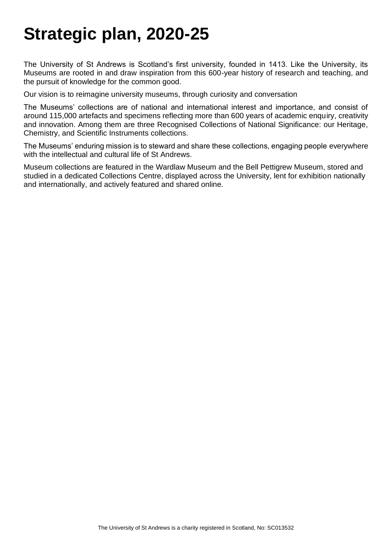# **Strategic plan, 2020-25**

The University of St Andrews is Scotland's first university, founded in 1413. Like the University, its Museums are rooted in and draw inspiration from this 600-year history of research and teaching, and the pursuit of knowledge for the common good.

Our vision is to reimagine university museums, through curiosity and conversation

The Museums' collections are of national and international interest and importance, and consist of around 115,000 artefacts and specimens reflecting more than 600 years of academic enquiry, creativity and innovation. Among them are three Recognised Collections of National Significance: our Heritage, Chemistry, and Scientific Instruments collections.

The Museums' enduring mission is to steward and share these collections, engaging people everywhere with the intellectual and cultural life of St Andrews.

Museum collections are featured in the Wardlaw Museum and the Bell Pettigrew Museum, stored and studied in a dedicated Collections Centre, displayed across the University, lent for exhibition nationally and internationally, and actively featured and shared online.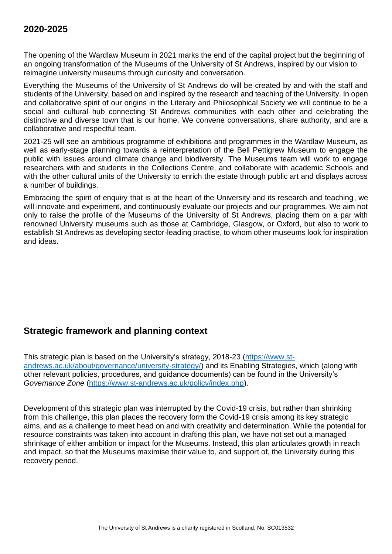### **2020-2025**

The opening of the Wardlaw Museum in 2021 marks the end of the capital project but the beginning of an ongoing transformation of the Museums of the University of St Andrews, inspired by our vision to reimagine university museums through curiosity and conversation.

Everything the Museums of the University of St Andrews do will be created by and with the staff and students of the University, based on and inspired by the research and teaching of the University. In open and collaborative spirit of our origins in the Literary and Philosophical Society we will continue to be a social and cultural hub connecting St Andrews communities with each other and celebrating the distinctive and diverse town that is our home. We convene conversations, share authority, and are a collaborative and respectful team.

2021-25 will see an ambitious programme of exhibitions and programmes in the Wardlaw Museum, as well as early-stage planning towards a reinterpretation of the Bell Pettigrew Museum to engage the public with issues around climate change and biodiversity. The Museums team will work to engage researchers with and students in the Collections Centre, and collaborate with academic Schools and with the other cultural units of the University to enrich the estate through public art and displays across a number of buildings.

Embracing the spirit of enquiry that is at the heart of the University and its research and teaching, we will innovate and experiment, and continuously evaluate our projects and our programmes. We aim not only to raise the profile of the Museums of the University of St Andrews, placing them on a par with renowned University museums such as those at Cambridge, Glasgow, or Oxford, but also to work to establish St Andrews as developing sector-leading practise, to whom other museums look for inspiration and ideas.

## **Strategic framework and planning context**

This strategic plan is based on the University's strategy, 2018-23 [\(https://www.st](https://www.st-andrews.ac.uk/about/governance/university-strategy/)[andrews.ac.uk/about/governance/university-strategy/\)](https://www.st-andrews.ac.uk/about/governance/university-strategy/) and its Enabling Strategies, which (along with other relevant policies, procedures, and guidance documents) can be found in the University's *Governance Zone* [\(https://www.st-andrews.ac.uk/policy/index.php\)](https://www.st-andrews.ac.uk/policy/index.php).

Development of this strategic plan was interrupted by the Covid-19 crisis, but rather than shrinking from this challenge, this plan places the recovery form the Covid-19 crisis among its key strategic aims, and as a challenge to meet head on and with creativity and determination. While the potential for resource constraints was taken into account in drafting this plan, we have not set out a managed shrinkage of either ambition or impact for the Museums. Instead, this plan articulates growth in reach and impact, so that the Museums maximise their value to, and support of, the University during this recovery period.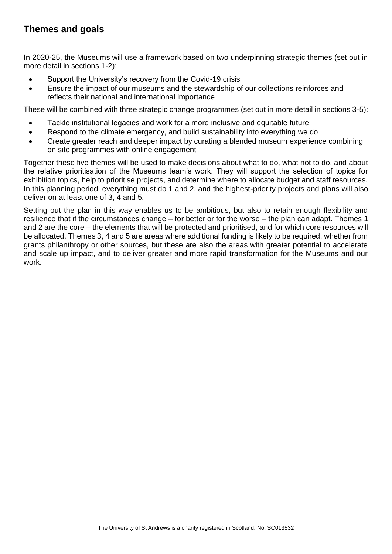## **Themes and goals**

In 2020-25, the Museums will use a framework based on two underpinning strategic themes (set out in more detail in sections 1-2):

- Support the University's recovery from the Covid-19 crisis
- Ensure the impact of our museums and the stewardship of our collections reinforces and reflects their national and international importance

These will be combined with three strategic change programmes (set out in more detail in sections 3-5):

- Tackle institutional legacies and work for a more inclusive and equitable future
- Respond to the climate emergency, and build sustainability into everything we do
- Create greater reach and deeper impact by curating a blended museum experience combining on site programmes with online engagement

Together these five themes will be used to make decisions about what to do, what not to do, and about the relative prioritisation of the Museums team's work. They will support the selection of topics for exhibition topics, help to prioritise projects, and determine where to allocate budget and staff resources. In this planning period, everything must do 1 and 2, and the highest-priority projects and plans will also deliver on at least one of 3, 4 and 5.

Setting out the plan in this way enables us to be ambitious, but also to retain enough flexibility and resilience that if the circumstances change – for better or for the worse – the plan can adapt. Themes 1 and 2 are the core – the elements that will be protected and prioritised, and for which core resources will be allocated. Themes 3, 4 and 5 are areas where additional funding is likely to be required, whether from grants philanthropy or other sources, but these are also the areas with greater potential to accelerate and scale up impact, and to deliver greater and more rapid transformation for the Museums and our work.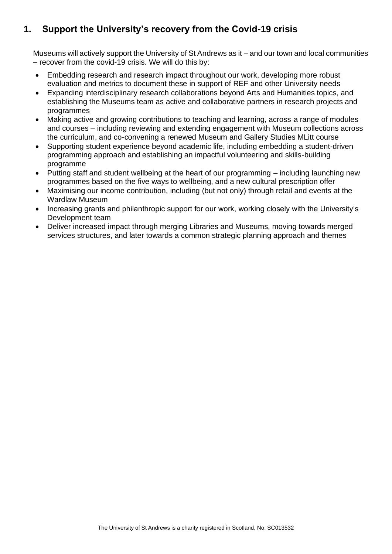# **1. Support the University's recovery from the Covid-19 crisis**

Museums will actively support the University of St Andrews as it – and our town and local communities – recover from the covid-19 crisis. We will do this by:

- Embedding research and research impact throughout our work, developing more robust evaluation and metrics to document these in support of REF and other University needs
- Expanding interdisciplinary research collaborations beyond Arts and Humanities topics, and establishing the Museums team as active and collaborative partners in research projects and programmes
- Making active and growing contributions to teaching and learning, across a range of modules and courses – including reviewing and extending engagement with Museum collections across the curriculum, and co-convening a renewed Museum and Gallery Studies MLitt course
- Supporting student experience beyond academic life, including embedding a student-driven programming approach and establishing an impactful volunteering and skills-building programme
- Putting staff and student wellbeing at the heart of our programming including launching new programmes based on the five ways to wellbeing, and a new cultural prescription offer
- Maximising our income contribution, including (but not only) through retail and events at the Wardlaw Museum
- Increasing grants and philanthropic support for our work, working closely with the University's Development team
- Deliver increased impact through merging Libraries and Museums, moving towards merged services structures, and later towards a common strategic planning approach and themes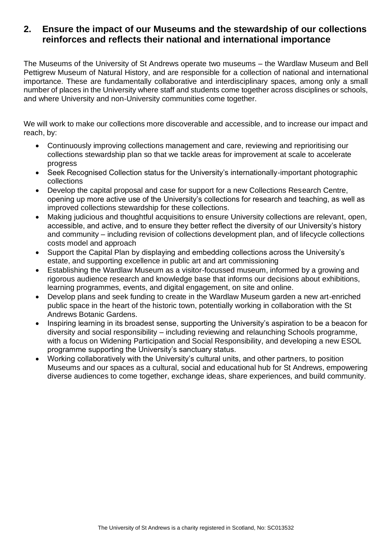### **2. Ensure the impact of our Museums and the stewardship of our collections reinforces and reflects their national and international importance**

The Museums of the University of St Andrews operate two museums – the Wardlaw Museum and Bell Pettigrew Museum of Natural History, and are responsible for a collection of national and international importance. These are fundamentally collaborative and interdisciplinary spaces, among only a small number of places in the University where staff and students come together across disciplines or schools, and where University and non-University communities come together.

We will work to make our collections more discoverable and accessible, and to increase our impact and reach, by:

- Continuously improving collections management and care, reviewing and reprioritising our collections stewardship plan so that we tackle areas for improvement at scale to accelerate progress
- Seek Recognised Collection status for the University's internationally-important photographic collections
- Develop the capital proposal and case for support for a new Collections Research Centre, opening up more active use of the University's collections for research and teaching, as well as improved collections stewardship for these collections.
- Making judicious and thoughtful acquisitions to ensure University collections are relevant, open, accessible, and active, and to ensure they better reflect the diversity of our University's history and community – including revision of collections development plan, and of lifecycle collections costs model and approach
- Support the Capital Plan by displaying and embedding collections across the University's estate, and supporting excellence in public art and art commissioning
- Establishing the Wardlaw Museum as a visitor-focussed museum, informed by a growing and rigorous audience research and knowledge base that informs our decisions about exhibitions, learning programmes, events, and digital engagement, on site and online.
- Develop plans and seek funding to create in the Wardlaw Museum garden a new art-enriched public space in the heart of the historic town, potentially working in collaboration with the St Andrews Botanic Gardens.
- Inspiring learning in its broadest sense, supporting the University's aspiration to be a beacon for diversity and social responsibility – including reviewing and relaunching Schools programme, with a focus on Widening Participation and Social Responsibility, and developing a new ESOL programme supporting the University's sanctuary status.
- Working collaboratively with the University's cultural units, and other partners, to position Museums and our spaces as a cultural, social and educational hub for St Andrews, empowering diverse audiences to come together, exchange ideas, share experiences, and build community.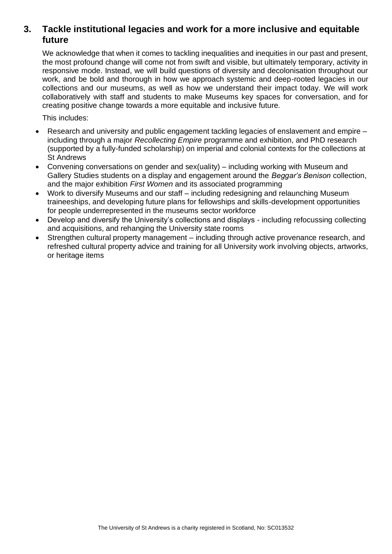## **3. Tackle institutional legacies and work for a more inclusive and equitable future**

We acknowledge that when it comes to tackling inequalities and inequities in our past and present, the most profound change will come not from swift and visible, but ultimately temporary, activity in responsive mode. Instead, we will build questions of diversity and decolonisation throughout our work, and be bold and thorough in how we approach systemic and deep-rooted legacies in our collections and our museums, as well as how we understand their impact today. We will work collaboratively with staff and students to make Museums key spaces for conversation, and for creating positive change towards a more equitable and inclusive future.

This includes:

- Research and university and public engagement tackling legacies of enslavement and empire including through a major *Recollecting Empire* programme and exhibition, and PhD research (supported by a fully-funded scholarship) on imperial and colonial contexts for the collections at St Andrews
- Convening conversations on gender and sex(uality) including working with Museum and Gallery Studies students on a display and engagement around the *Beggar's Benison* collection, and the major exhibition *First Women* and its associated programming
- Work to diversify Museums and our staff including redesigning and relaunching Museum traineeships, and developing future plans for fellowships and skills-development opportunities for people underrepresented in the museums sector workforce
- Develop and diversify the University's collections and displays including refocussing collecting and acquisitions, and rehanging the University state rooms
- Strengthen cultural property management including through active provenance research, and refreshed cultural property advice and training for all University work involving objects, artworks, or heritage items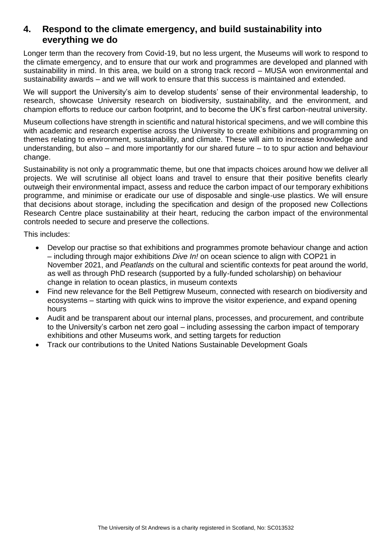## **4. Respond to the climate emergency, and build sustainability into everything we do**

Longer term than the recovery from Covid-19, but no less urgent, the Museums will work to respond to the climate emergency, and to ensure that our work and programmes are developed and planned with sustainability in mind. In this area, we build on a strong track record – MUSA won environmental and sustainability awards – and we will work to ensure that this success is maintained and extended.

We will support the University's aim to develop students' sense of their environmental leadership, to research, showcase University research on biodiversity, sustainability, and the environment, and champion efforts to reduce our carbon footprint, and to become the UK's first carbon-neutral university.

Museum collections have strength in scientific and natural historical specimens, and we will combine this with academic and research expertise across the University to create exhibitions and programming on themes relating to environment, sustainability, and climate. These will aim to increase knowledge and understanding, but also – and more importantly for our shared future – to to spur action and behaviour change.

Sustainability is not only a programmatic theme, but one that impacts choices around how we deliver all projects. We will scrutinise all object loans and travel to ensure that their positive benefits clearly outweigh their environmental impact, assess and reduce the carbon impact of our temporary exhibitions programme, and minimise or eradicate our use of disposable and single-use plastics. We will ensure that decisions about storage, including the specification and design of the proposed new Collections Research Centre place sustainability at their heart, reducing the carbon impact of the environmental controls needed to secure and preserve the collections.

This includes:

- Develop our practise so that exhibitions and programmes promote behaviour change and action – including through major exhibitions *Dive In!* on ocean science to align with COP21 in November 2021, and *Peatlands* on the cultural and scientific contexts for peat around the world, as well as through PhD research (supported by a fully-funded scholarship) on behaviour change in relation to ocean plastics, in museum contexts
- Find new relevance for the Bell Pettigrew Museum, connected with research on biodiversity and ecosystems – starting with quick wins to improve the visitor experience, and expand opening hours
- Audit and be transparent about our internal plans, processes, and procurement, and contribute to the University's carbon net zero goal – including assessing the carbon impact of temporary exhibitions and other Museums work, and setting targets for reduction
- Track our contributions to the United Nations Sustainable Development Goals